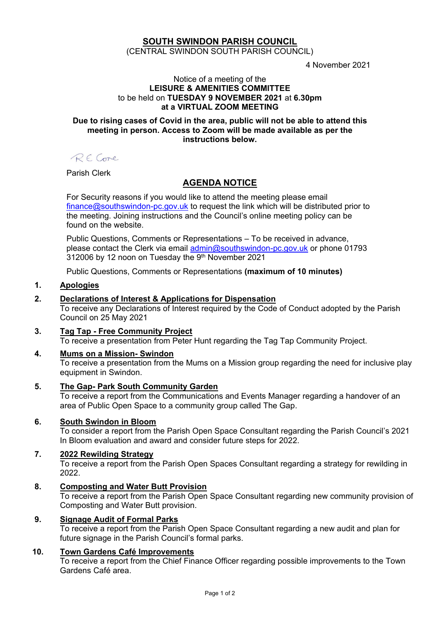# **SOUTH SWINDON PARISH COUNCIL**

(CENTRAL SWINDON SOUTH PARISH COUNCIL)

4 November 2021

#### Notice of a meeting of the **LEISURE & AMENITIES COMMITTEE** to be held on **TUESDAY 9 NOVEMBER 2021** at **6.30pm at a VIRTUAL ZOOM MEETING**

#### **Due to rising cases of Covid in the area, public will not be able to attend this meeting in person. Access to Zoom will be made available as per the instructions below.**

RECore

Parish Clerk

# **AGENDA NOTICE**

For Security reasons if you would like to attend the meeting please email [finance@southswindon-pc.gov.uk](mailto:finance@southswindon-pc.gov.uk) to request the link which will be distributed prior to the meeting. Joining instructions and the Council's online meeting policy can be found on the website.

Public Questions, Comments or Representations – To be received in advance, please contact the Clerk via email [admin@southswindon-pc.gov.uk](mailto:admin@southswindon-pc.gov.uk) or phone 01793 312006 by 12 noon on Tuesday the 9<sup>th</sup> November 2021

Public Questions, Comments or Representations **(maximum of 10 minutes)**

# **1. Apologies**

## **2. Declarations of Interest & Applications for Dispensation**

To receive any Declarations of Interest required by the Code of Conduct adopted by the Parish Council on 25 May 2021

**3. Tag Tap - Free Community Project** To receive a presentation from Peter Hunt regarding the Tag Tap Community Project.

#### **4. Mums on a Mission- Swindon** To receive a presentation from the Mums on a Mission group regarding the need for inclusive play equipment in Swindon.

**5. The Gap- Park South Community Garden** To receive a report from the Communications and Events Manager regarding a handover of an

area of Public Open Space to a community group called The Gap.

# **6. South Swindon in Bloom**

To consider a report from the Parish Open Space Consultant regarding the Parish Council's 2021 In Bloom evaluation and award and consider future steps for 2022.

# **7. 2022 Rewilding Strategy**

To receive a report from the Parish Open Spaces Consultant regarding a strategy for rewilding in 2022.

# **8. Composting and Water Butt Provision**

To receive a report from the Parish Open Space Consultant regarding new community provision of Composting and Water Butt provision.

#### **9. Signage Audit of Formal Parks**

To receive a report from the Parish Open Space Consultant regarding a new audit and plan for future signage in the Parish Council's formal parks.

# **10. Town Gardens Café Improvements**

To receive a report from the Chief Finance Officer regarding possible improvements to the Town Gardens Café area.